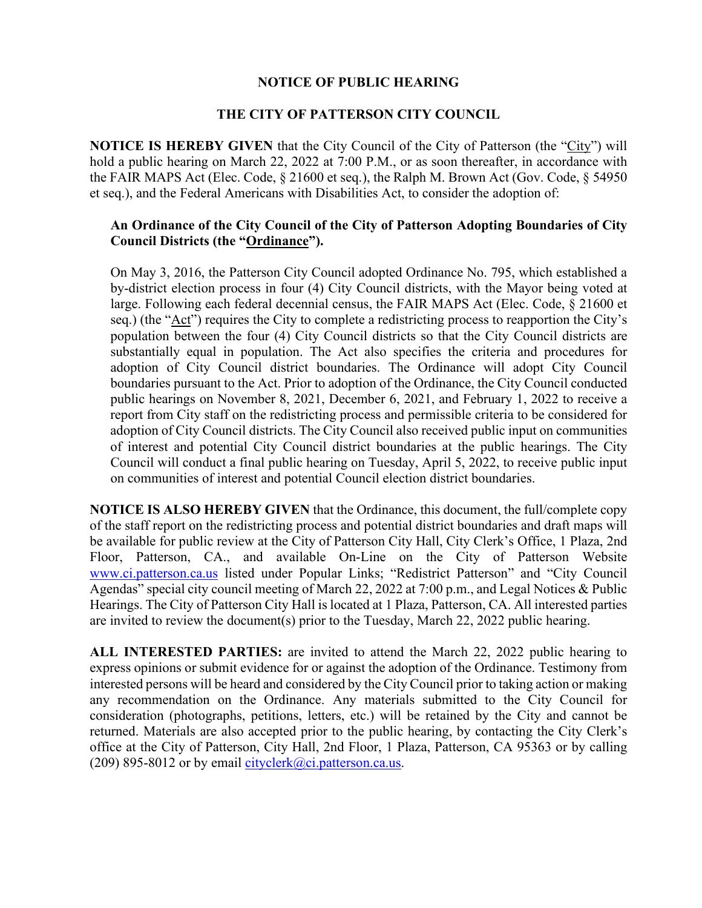## **NOTICE OF PUBLIC HEARING**

## **THE CITY OF PATTERSON CITY COUNCIL**

**NOTICE IS HEREBY GIVEN** that the City Council of the City of Patterson (the "City") will hold a public hearing on March 22, 2022 at 7:00 P.M., or as soon thereafter, in accordance with the FAIR MAPS Act (Elec. Code, § 21600 et seq.), the Ralph M. Brown Act (Gov. Code, § 54950 et seq.), and the Federal Americans with Disabilities Act, to consider the adoption of:

## **An Ordinance of the City Council of the City of Patterson Adopting Boundaries of City Council Districts (the "Ordinance").**

On May 3, 2016, the Patterson City Council adopted Ordinance No. 795, which established a by-district election process in four (4) City Council districts, with the Mayor being voted at large. Following each federal decennial census, the FAIR MAPS Act (Elec. Code, § 21600 et seq.) (the "Act") requires the City to complete a redistricting process to reapportion the City's population between the four (4) City Council districts so that the City Council districts are substantially equal in population. The Act also specifies the criteria and procedures for adoption of City Council district boundaries. The Ordinance will adopt City Council boundaries pursuant to the Act. Prior to adoption of the Ordinance, the City Council conducted public hearings on November 8, 2021, December 6, 2021, and February 1, 2022 to receive a report from City staff on the redistricting process and permissible criteria to be considered for adoption of City Council districts. The City Council also received public input on communities of interest and potential City Council district boundaries at the public hearings. The City Council will conduct a final public hearing on Tuesday, April 5, 2022, to receive public input on communities of interest and potential Council election district boundaries.

**NOTICE IS ALSO HEREBY GIVEN** that the Ordinance, this document, the full/complete copy of the staff report on the redistricting process and potential district boundaries and draft maps will be available for public review at the City of Patterson City Hall, City Clerk's Office, 1 Plaza, 2nd Floor, Patterson, CA., and available On-Line on the City of Patterson Website [www.ci.patterson.ca.us](http://www.ci.patterson.ca.us/) listed under Popular Links; "Redistrict Patterson" and "City Council Agendas" special city council meeting of March 22, 2022 at 7:00 p.m., and Legal Notices & Public Hearings. The City of Patterson City Hall is located at 1 Plaza, Patterson, CA. All interested parties are invited to review the document(s) prior to the Tuesday, March 22, 2022 public hearing.

**ALL INTERESTED PARTIES:** are invited to attend the March 22, 2022 public hearing to express opinions or submit evidence for or against the adoption of the Ordinance. Testimony from interested persons will be heard and considered by the City Council prior to taking action or making any recommendation on the Ordinance. Any materials submitted to the City Council for consideration (photographs, petitions, letters, etc.) will be retained by the City and cannot be returned. Materials are also accepted prior to the public hearing, by contacting the City Clerk's office at the City of Patterson, City Hall, 2nd Floor, 1 Plaza, Patterson, CA 95363 or by calling (209) 895-8012 or by email [cityclerk@ci.patterson.ca.us.](mailto:cityclerk@ci.patterson.ca.us)